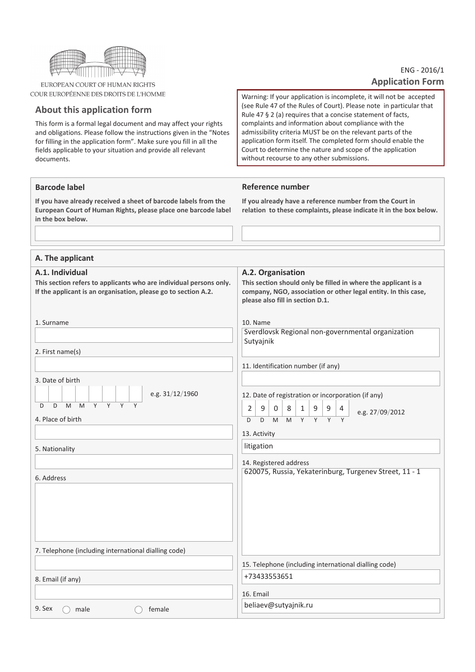

EUROPEAN COURT OF HUMAN RIGHTS COUR EUROPÉENNE DES DROITS DE L'HOMME

# About this application form

**Barcode label** 

This form is a formal legal document and may affect your rights and obligations. Please follow the instructions given in the "Notes for filling in the application form". Make sure you fill in all the fields applicable to your situation and provide all relevant documents.

# ENG - 2016/1 **Application Form**

Warning: If your application is incomplete, it will not be accepted (see Rule 47 of the Rules of Court). Please note in particular that Rule 47 § 2 (a) requires that a concise statement of facts, complaints and information about compliance with the admissibility criteria MUST be on the relevant parts of the application form itself. The completed form should enable the Court to determine the nature and scope of the application without recourse to any other submissions.

## Reference number

If you have already received a sheet of barcode labels from the European Court of Human Rights, please place one barcode label in the box below.

If you already have a reference number from the Court in relation to these complaints, please indicate it in the box below.

| A. The applicant                                                                      |                                                                                                          |
|---------------------------------------------------------------------------------------|----------------------------------------------------------------------------------------------------------|
| A.1. Individual<br>This section refers to applicants who are individual persons only. | A.2. Organisation<br>This section should only be filled in where the applicant is a                      |
| If the applicant is an organisation, please go to section A.2.                        | company, NGO, association or other legal entity. In this case,<br>please also fill in section D.1.       |
| 1. Surname                                                                            | 10. Name<br>Sverdlovsk Regional non-governmental organization                                            |
|                                                                                       | Sutyajnik                                                                                                |
| 2. First name(s)                                                                      |                                                                                                          |
| 3. Date of birth                                                                      | 11. Identification number (if any)                                                                       |
| e.g. 31/12/1960                                                                       | 12. Date of registration or incorporation (if any)                                                       |
| M M Y Y<br>Y<br>D<br>D<br>Y                                                           | 9<br>9<br>$\overline{2}$<br>$\mathbf 0$<br>8 <sup>1</sup><br>1<br>9<br>$\overline{4}$<br>e.g. 27/09/2012 |
| 4. Place of birth                                                                     | $\overline{Y}$<br>$M$ $Y$ $Y$<br>D<br>M<br>Y<br>D                                                        |
|                                                                                       | 13. Activity                                                                                             |
| 5. Nationality                                                                        | litigation                                                                                               |
|                                                                                       | 14. Registered address<br>620075, Russia, Yekaterinburg, Turgenev Street, 11 - 1                         |
| 6. Address                                                                            |                                                                                                          |
|                                                                                       |                                                                                                          |
|                                                                                       |                                                                                                          |
|                                                                                       |                                                                                                          |
| 7. Telephone (including international dialling code)                                  |                                                                                                          |
|                                                                                       | 15. Telephone (including international dialling code)                                                    |
| 8. Email (if any)                                                                     | +73433553651                                                                                             |
|                                                                                       | 16. Email                                                                                                |
| 9. Sex<br>male<br>female                                                              | beliaev@sutyajnik.ru                                                                                     |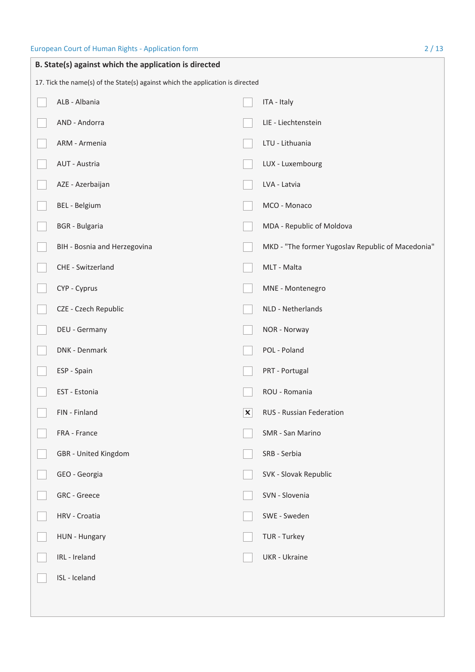| B. State(s) against which the application is directed                          |                              |   |                                                   |  |
|--------------------------------------------------------------------------------|------------------------------|---|---------------------------------------------------|--|
| 17. Tick the name(s) of the State(s) against which the application is directed |                              |   |                                                   |  |
|                                                                                | ALB - Albania                |   | ITA - Italy                                       |  |
|                                                                                | AND - Andorra                |   | LIE - Liechtenstein                               |  |
|                                                                                | ARM - Armenia                |   | LTU - Lithuania                                   |  |
|                                                                                | AUT - Austria                |   | LUX - Luxembourg                                  |  |
|                                                                                | AZE - Azerbaijan             |   | LVA - Latvia                                      |  |
|                                                                                | BEL - Belgium                |   | MCO - Monaco                                      |  |
|                                                                                | <b>BGR</b> - Bulgaria        |   | MDA - Republic of Moldova                         |  |
|                                                                                | BIH - Bosnia and Herzegovina |   | MKD - "The former Yugoslav Republic of Macedonia" |  |
|                                                                                | CHE - Switzerland            |   | MLT - Malta                                       |  |
|                                                                                | CYP - Cyprus                 |   | MNE - Montenegro                                  |  |
|                                                                                | CZE - Czech Republic         |   | NLD - Netherlands                                 |  |
|                                                                                | DEU - Germany                |   | NOR - Norway                                      |  |
|                                                                                | DNK - Denmark                |   | POL - Poland                                      |  |
|                                                                                | ESP - Spain                  |   | PRT - Portugal                                    |  |
|                                                                                | EST - Estonia                |   | ROU - Romania                                     |  |
|                                                                                | FIN - Finland                | X | RUS - Russian Federation                          |  |
|                                                                                | FRA - France                 |   | SMR - San Marino                                  |  |
|                                                                                | GBR - United Kingdom         |   | SRB - Serbia                                      |  |
|                                                                                | GEO - Georgia                |   | SVK - Slovak Republic                             |  |
|                                                                                | GRC - Greece                 |   | SVN - Slovenia                                    |  |
|                                                                                | HRV - Croatia                |   | SWE - Sweden                                      |  |
|                                                                                | HUN - Hungary                |   | TUR - Turkey                                      |  |
|                                                                                | IRL - Ireland                |   | <b>UKR</b> - Ukraine                              |  |
|                                                                                | ISL - Iceland                |   |                                                   |  |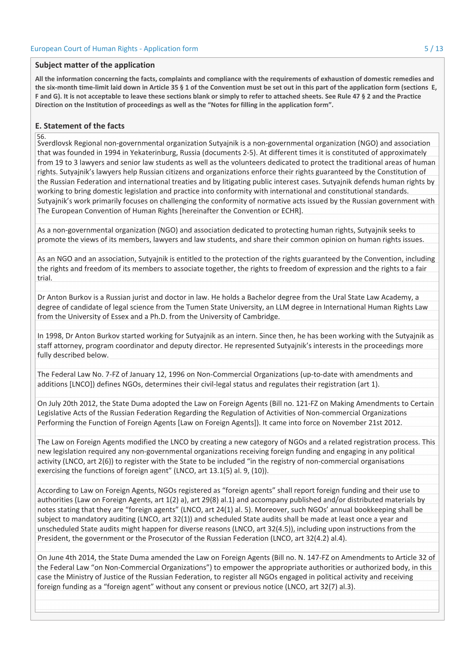#### Subject matter of the application

All the information concerning the facts, complaints and compliance with the requirements of exhaustion of domestic remedies and the six-month time-limit laid down in Article 35 § 1 of the Convention must be set out in this part of the application form (sections E. F and G). It is not acceptable to leave these sections blank or simply to refer to attached sheets. See Rule 47 § 2 and the Practice Direction on the Institution of proceedings as well as the "Notes for filling in the application form".

#### **E. Statement of the facts**

#### 56.

Sverdlovsk Regional non-governmental organization Sutyajnik is a non-governmental organization (NGO) and association that was founded in 1994 in Yekaterinburg, Russia (documents 2-5). At different times it is constituted of approximately from 19 to 3 lawyers and senior law students as well as the volunteers dedicated to protect the traditional areas of human rights. Sutyainik's lawyers help Russian citizens and organizations enforce their rights guaranteed by the Constitution of the Russian Federation and international treaties and by litigating public interest cases. Sutyajnik defends human rights by working to bring domestic legislation and practice into conformity with international and constitutional standards. Sutyajnik's work primarily focuses on challenging the conformity of normative acts issued by the Russian government with The European Convention of Human Rights [hereinafter the Convention or ECHR].

As a non-governmental organization (NGO) and association dedicated to protecting human rights, Sutyajnik seeks to promote the views of its members, lawyers and law students, and share their common opinion on human rights issues.

As an NGO and an association, Sutyainik is entitled to the protection of the rights guaranteed by the Convention, including the rights and freedom of its members to associate together, the rights to freedom of expression and the rights to a fair trial.

Dr Anton Burkov is a Russian jurist and doctor in law. He holds a Bachelor degree from the Ural State Law Academy, a degree of candidate of legal science from the Tumen State University, an LLM degree in International Human Rights Law from the University of Essex and a Ph.D. from the University of Cambridge.

In 1998, Dr Anton Burkov started working for Sutyajnik as an intern. Since then, he has been working with the Sutyajnik as staff attorney, program coordinator and deputy director. He represented Sutyajnik's interests in the proceedings more fully described below.

The Federal Law No. 7-FZ of January 12, 1996 on Non-Commercial Organizations (up-to-date with amendments and additions [LNCO]) defines NGOs, determines their civil-legal status and regulates their registration (art 1).

On July 20th 2012, the State Duma adopted the Law on Foreign Agents (Bill no. 121-FZ on Making Amendments to Certain Legislative Acts of the Russian Federation Regarding the Regulation of Activities of Non-commercial Organizations Performing the Function of Foreign Agents [Law on Foreign Agents]). It came into force on November 21st 2012.

The Law on Foreign Agents modified the LNCO by creating a new category of NGOs and a related registration process. This new legislation required any non-governmental organizations receiving foreign funding and engaging in any political activity (LNCO, art 2(6)) to register with the State to be included "in the registry of non-commercial organisations exercising the functions of foreign agent" (LNCO, art 13.1(5) al. 9, (10)).

According to Law on Foreign Agents, NGOs registered as "foreign agents" shall report foreign funding and their use to authorities (Law on Foreign Agents, art 1(2) a), art 29(8) al.1) and accompany published and/or distributed materials by notes stating that they are "foreign agents" (LNCO, art 24(1) al. 5). Moreover, such NGOs' annual bookkeeping shall be subject to mandatory auditing (LNCO, art 32(1)) and scheduled State audits shall be made at least once a year and unscheduled State audits might happen for diverse reasons (LNCO, art 32(4.5)), including upon instructions from the President, the government or the Prosecutor of the Russian Federation (LNCO, art 32(4.2) al.4).

On June 4th 2014, the State Duma amended the Law on Foreign Agents (Bill no. N. 147-FZ on Amendments to Article 32 of the Federal Law "on Non-Commercial Organizations") to empower the appropriate authorities or authorized body, in this case the Ministry of Justice of the Russian Federation, to register all NGOs engaged in political activity and receiving foreign funding as a "foreign agent" without any consent or previous notice (LNCO, art 32(7) al.3).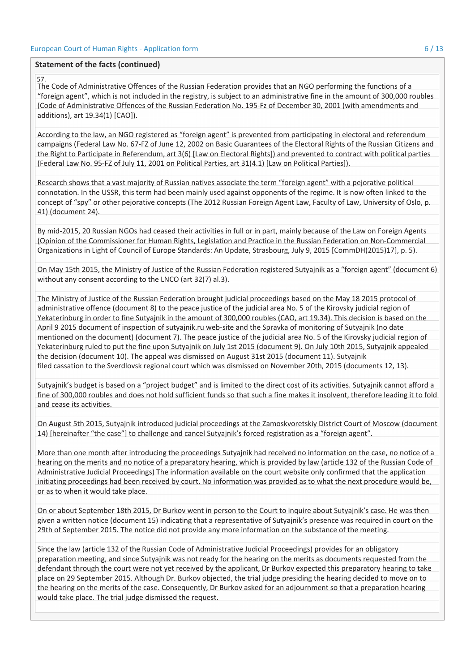#### Statement of the facts (continued)

#### 57.

The Code of Administrative Offences of the Russian Federation provides that an NGO performing the functions of a "foreign agent", which is not included in the registry, is subject to an administrative fine in the amount of 300,000 roubles (Code of Administrative Offences of the Russian Federation No. 195-Fz of December 30, 2001 (with amendments and additions), art 19.34(1) [CAO]).

According to the law, an NGO registered as "foreign agent" is prevented from participating in electoral and referendum campaigns (Federal Law No. 67-FZ of June 12, 2002 on Basic Guarantees of the Electoral Rights of the Russian Citizens and the Right to Participate in Referendum, art 3(6) [Law on Electoral Rights]) and prevented to contract with political parties (Federal Law No. 95-FZ of July 11, 2001 on Political Parties, art 31(4.1) [Law on Political Parties]).

Research shows that a vast majority of Russian natives associate the term "foreign agent" with a pejorative political connotation. In the USSR, this term had been mainly used against opponents of the regime. It is now often linked to the concept of "spy" or other pejorative concepts (The 2012 Russian Foreign Agent Law, Faculty of Law, University of Oslo, p. 41) (document 24).

By mid-2015, 20 Russian NGOs had ceased their activities in full or in part, mainly because of the Law on Foreign Agents (Opinion of the Commissioner for Human Rights, Legislation and Practice in the Russian Federation on Non-Commercial Organizations in Light of Council of Europe Standards: An Update, Strasbourg, July 9, 2015 [CommDH(2015)17], p. 5).

On May 15th 2015, the Ministry of Justice of the Russian Federation registered Sutyajnik as a "foreign agent" (document 6) without any consent according to the LNCO (art 32(7) al.3).

The Ministry of Justice of the Russian Federation brought judicial proceedings based on the May 18 2015 protocol of administrative offence (document 8) to the peace justice of the judicial area No. 5 of the Kirovsky judicial region of Yekaterinburg in order to fine Sutyajnik in the amount of 300,000 roubles (CAO, art 19.34). This decision is based on the April 9 2015 document of inspection of sutyajnik.ru web-site and the Spravka of monitoring of Sutyajnik (no date mentioned on the document) (document 7). The peace justice of the judicial area No. 5 of the Kirovsky judicial region of Yekaterinburg ruled to put the fine upon Sutyajnik on July 1st 2015 (document 9). On July 10th 2015, Sutyajnik appealed the decision (document 10). The appeal was dismissed on August 31st 2015 (document 11). Sutyajnik filed cassation to the Sverdlovsk regional court which was dismissed on November 20th, 2015 (documents 12, 13).

Sutyajnik's budget is based on a "project budget" and is limited to the direct cost of its activities. Sutyajnik cannot afford a fine of 300,000 roubles and does not hold sufficient funds so that such a fine makes it insolvent, therefore leading it to fold and cease its activities.

On August 5th 2015, Sutyajnik introduced judicial proceedings at the Zamoskvoretskiy District Court of Moscow (document 14) [hereinafter "the case"] to challenge and cancel Sutyajnik's forced registration as a "foreign agent".

More than one month after introducing the proceedings Sutyajnik had received no information on the case, no notice of a hearing on the merits and no notice of a preparatory hearing, which is provided by law (article 132 of the Russian Code of Administrative Judicial Proceedings) The information available on the court website only confirmed that the application initiating proceedings had been received by court. No information was provided as to what the next procedure would be, or as to when it would take place.

On or about September 18th 2015, Dr Burkov went in person to the Court to inquire about Sutyajnik's case. He was then given a written notice (document 15) indicating that a representative of Sutyajnik's presence was required in court on the 29th of September 2015. The notice did not provide any more information on the substance of the meeting.

Since the law (article 132 of the Russian Code of Administrative Judicial Proceedings) provides for an obligatory preparation meeting, and since Sutyajnik was not ready for the hearing on the merits as documents requested from the defendant through the court were not yet received by the applicant, Dr Burkov expected this preparatory hearing to take place on 29 September 2015. Although Dr. Burkov objected, the trial judge presiding the hearing decided to move on to the hearing on the merits of the case. Consequently, Dr Burkov asked for an adjournment so that a preparation hearing would take place. The trial judge dismissed the request.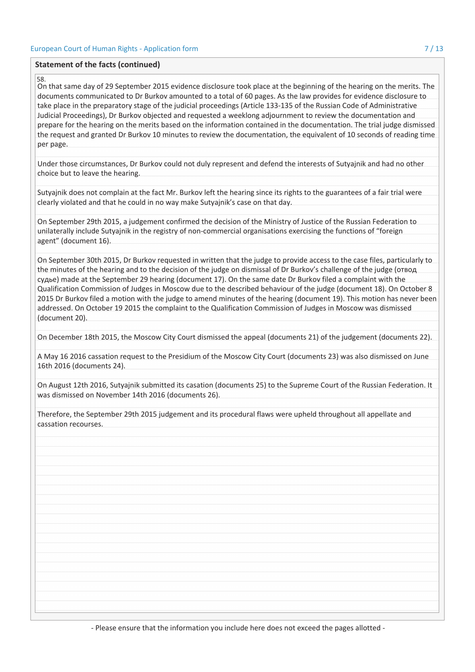#### Statement of the facts (continued)

#### 58.

On that same day of 29 September 2015 evidence disclosure took place at the beginning of the hearing on the merits. The documents communicated to Dr Burkov amounted to a total of 60 pages. As the law provides for evidence disclosure to take place in the preparatory stage of the judicial proceedings (Article 133-135 of the Russian Code of Administrative Judicial Proceedings), Dr Burkov objected and requested a weeklong adjournment to review the documentation and prepare for the hearing on the merits based on the information contained in the documentation. The trial judge dismissed the request and granted Dr Burkov 10 minutes to review the documentation, the equivalent of 10 seconds of reading time per page.

Under those circumstances, Dr Burkov could not duly represent and defend the interests of Sutyajnik and had no other choice but to leave the hearing.

Sutyajnik does not complain at the fact Mr. Burkov left the hearing since its rights to the guarantees of a fair trial were clearly violated and that he could in no way make Sutyajnik's case on that day.

On September 29th 2015, a judgement confirmed the decision of the Ministry of Justice of the Russian Federation to unilaterally include Sutyajnik in the registry of non-commercial organisations exercising the functions of "foreign agent" (document 16).

On September 30th 2015, Dr Burkov requested in written that the judge to provide access to the case files, particularly to the minutes of the hearing and to the decision of the judge on dismissal of Dr Burkov's challenge of the judge (отвод судье) made at the September 29 hearing (document 17). On the same date Dr Burkov filed a complaint with the Qualification Commission of Judges in Moscow due to the described behaviour of the judge (document 18). On October 8 2015 Dr Burkov filed a motion with the judge to amend minutes of the hearing (document 19). This motion has never been addressed. On October 19 2015 the complaint to the Qualification Commission of Judges in Moscow was dismissed (document 20).

On December 18th 2015, the Moscow City Court dismissed the appeal (documents 21) of the judgement (documents 22).

A May 16 2016 cassation request to the Presidium of the Moscow City Court (documents 23) was also dismissed on June 16th 2016 (documents 24).

On August 12th 2016, Sutyajnik submitted its casation (documents 25) to the Supreme Court of the Russian Federation. It was dismissed on November 14th 2016 (documents 26).

Therefore, the September 29th 2015 judgement and its procedural flaws were upheld throughout all appellate and cassation recourses.

- Please ensure that the information you include here does not exceed the pages allotted -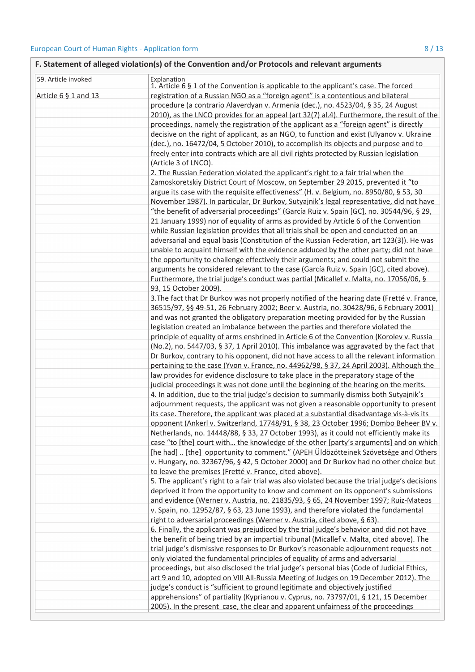| F. Statement of alleged violation(s) of the Convention and/or Protocols and relevant arguments |                                                                                                     |  |
|------------------------------------------------------------------------------------------------|-----------------------------------------------------------------------------------------------------|--|
| 59. Article invoked                                                                            | Explanation<br>1. Article 6 § 1 of the Convention is applicable to the applicant's case. The forced |  |
| Article $6 \S 1$ and 13                                                                        |                                                                                                     |  |
|                                                                                                | registration of a Russian NGO as a "foreign agent" is a contentious and bilateral                   |  |
|                                                                                                | procedure (a contrario Alaverdyan v. Armenia (dec.), no. 4523/04, § 35, 24 August                   |  |
|                                                                                                | 2010), as the LNCO provides for an appeal (art 32(7) al.4). Furthermore, the result of the          |  |
|                                                                                                | proceedings, namely the registration of the applicant as a "foreign agent" is directly              |  |
|                                                                                                | decisive on the right of applicant, as an NGO, to function and exist (Ulyanov v. Ukraine            |  |
|                                                                                                | (dec.), no. 16472/04, 5 October 2010), to accomplish its objects and purpose and to                 |  |
|                                                                                                | freely enter into contracts which are all civil rights protected by Russian legislation             |  |
|                                                                                                | (Article 3 of LNCO).                                                                                |  |
|                                                                                                | 2. The Russian Federation violated the applicant's right to a fair trial when the                   |  |
|                                                                                                | Zamoskoretskiy District Court of Moscow, on September 29 2015, prevented it "to                     |  |
|                                                                                                | argue its case with the requisite effectiveness" (H. v. Belgium, no. 8950/80, § 53, 30              |  |
|                                                                                                | November 1987). In particular, Dr Burkov, Sutyajnik's legal representative, did not have            |  |
|                                                                                                | "the benefit of adversarial proceedings" (García Ruiz v. Spain [GC], no. 30544/96, § 29,            |  |
|                                                                                                | 21 January 1999) nor of equality of arms as provided by Article 6 of the Convention                 |  |
|                                                                                                | while Russian legislation provides that all trials shall be open and conducted on an                |  |
|                                                                                                | adversarial and equal basis (Constitution of the Russian Federation, art 123(3)). He was            |  |
|                                                                                                | unable to acquaint himself with the evidence adduced by the other party; did not have               |  |
|                                                                                                | the opportunity to challenge effectively their arguments; and could not submit the                  |  |
|                                                                                                | arguments he considered relevant to the case (García Ruiz v. Spain [GC], cited above).              |  |
|                                                                                                | Furthermore, the trial judge's conduct was partial (Micallef v. Malta, no. 17056/06, §              |  |
|                                                                                                | 93, 15 October 2009).                                                                               |  |
|                                                                                                | 3. The fact that Dr Burkov was not properly notified of the hearing date (Fretté v. France,         |  |
|                                                                                                | 36515/97, §§ 49-51, 26 February 2002; Beer v. Austria, no. 30428/96, 6 February 2001)               |  |
|                                                                                                | and was not granted the obligatory preparation meeting provided for by the Russian                  |  |
|                                                                                                | legislation created an imbalance between the parties and therefore violated the                     |  |
|                                                                                                | principle of equality of arms enshrined in Article 6 of the Convention (Korolev v. Russia           |  |
|                                                                                                | (No.2), no. 5447/03, § 37, 1 April 2010). This imbalance was aggravated by the fact that            |  |
|                                                                                                | Dr Burkov, contrary to his opponent, did not have access to all the relevant information            |  |
|                                                                                                | pertaining to the case (Yvon v. France, no. 44962/98, § 37, 24 April 2003). Although the            |  |
|                                                                                                | law provides for evidence disclosure to take place in the preparatory stage of the                  |  |
|                                                                                                | judicial proceedings it was not done until the beginning of the hearing on the merits.              |  |
|                                                                                                | 4. In addition, due to the trial judge's decision to summarily dismiss both Sutyajnik's             |  |
|                                                                                                | adjournment requests, the applicant was not given a reasonable opportunity to present               |  |
|                                                                                                | its case. Therefore, the applicant was placed at a substantial disadvantage vis-à-vis its           |  |
|                                                                                                | opponent (Ankerl v. Switzerland, 17748/91, § 38, 23 October 1996; Dombo Beheer BV v.                |  |
|                                                                                                | Netherlands, no. 14448/88, § 33, 27 October 1993), as it could not efficiently make its             |  |
|                                                                                                | case "to [the] court with the knowledge of the other [party's arguments] and on which               |  |
|                                                                                                | [he had]  [the] opportunity to comment." (APEH Üldözötteinek Szövetsége and Others                  |  |
|                                                                                                | v. Hungary, no. 32367/96, § 42, 5 October 2000) and Dr Burkov had no other choice but               |  |
|                                                                                                | to leave the premises (Fretté v. France, cited above).                                              |  |
|                                                                                                | 5. The applicant's right to a fair trial was also violated because the trial judge's decisions      |  |
|                                                                                                | deprived it from the opportunity to know and comment on its opponent's submissions                  |  |
|                                                                                                | and evidence (Werner v. Austria, no. 21835/93, § 65, 24 November 1997; Ruiz-Mateos                  |  |
|                                                                                                | v. Spain, no. 12952/87, § 63, 23 June 1993), and therefore violated the fundamental                 |  |
|                                                                                                | right to adversarial proceedings (Werner v. Austria, cited above, § 63).                            |  |
|                                                                                                | 6. Finally, the applicant was prejudiced by the trial judge's behavior and did not have             |  |
|                                                                                                | the benefit of being tried by an impartial tribunal (Micallef v. Malta, cited above). The           |  |
|                                                                                                | trial judge's dismissive responses to Dr Burkov's reasonable adjournment requests not               |  |
|                                                                                                | only violated the fundamental principles of equality of arms and adversarial                        |  |
|                                                                                                | proceedings, but also disclosed the trial judge's personal bias (Code of Judicial Ethics,           |  |
|                                                                                                | art 9 and 10, adopted on VIII All-Russia Meeting of Judges on 19 December 2012). The                |  |
|                                                                                                | judge's conduct is "sufficient to ground legitimate and objectively justified                       |  |
|                                                                                                | apprehensions" of partiality (Kyprianou v. Cyprus, no. 73797/01, § 121, 15 December                 |  |
|                                                                                                | 2005). In the present case, the clear and apparent unfairness of the proceedings                    |  |
|                                                                                                |                                                                                                     |  |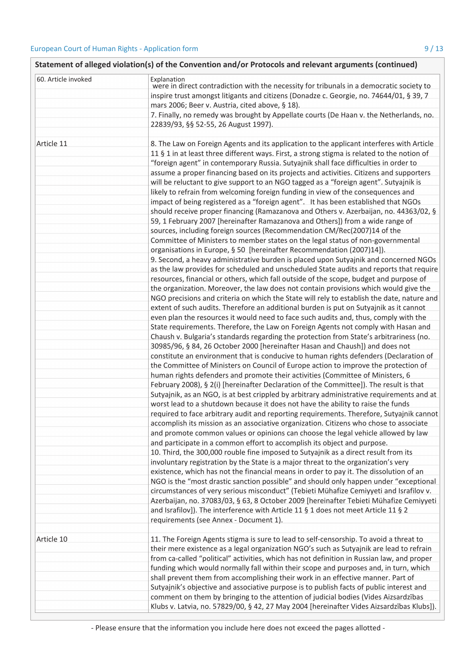| Statement of alleged violation(s) of the Convention and/or Protocols and relevant arguments (continued) |                                                                                                                                                                                                                                                                                                                                                                              |  |  |
|---------------------------------------------------------------------------------------------------------|------------------------------------------------------------------------------------------------------------------------------------------------------------------------------------------------------------------------------------------------------------------------------------------------------------------------------------------------------------------------------|--|--|
| 60. Article invoked                                                                                     | Explanation<br>were in direct contradiction with the necessity for tribunals in a democratic society to<br>inspire trust amongst litigants and citizens (Donadze c. Georgie, no. 74644/01, § 39, 7                                                                                                                                                                           |  |  |
|                                                                                                         | mars 2006; Beer v. Austria, cited above, § 18).<br>7. Finally, no remedy was brought by Appellate courts (De Haan v. the Netherlands, no.                                                                                                                                                                                                                                    |  |  |
|                                                                                                         | 22839/93, §§ 52-55, 26 August 1997).                                                                                                                                                                                                                                                                                                                                         |  |  |
| Article 11                                                                                              | 8. The Law on Foreign Agents and its application to the applicant interferes with Article<br>11 § 1 in at least three different ways. First, a strong stigma is related to the notion of<br>"foreign agent" in contemporary Russia. Sutyajnik shall face difficulties in order to<br>assume a proper financing based on its projects and activities. Citizens and supporters |  |  |
|                                                                                                         | will be reluctant to give support to an NGO tagged as a "foreign agent". Sutyajnik is                                                                                                                                                                                                                                                                                        |  |  |
|                                                                                                         | likely to refrain from welcoming foreign funding in view of the consequences and                                                                                                                                                                                                                                                                                             |  |  |
|                                                                                                         | impact of being registered as a "foreign agent". It has been established that NGOs<br>should receive proper financing (Ramazanova and Others v. Azerbaijan, no. 44363/02, §<br>59, 1 February 2007 [hereinafter Ramazanova and Others]) from a wide range of                                                                                                                 |  |  |
|                                                                                                         | sources, including foreign sources (Recommendation CM/Rec(2007)14 of the                                                                                                                                                                                                                                                                                                     |  |  |
|                                                                                                         | Committee of Ministers to member states on the legal status of non-governmental                                                                                                                                                                                                                                                                                              |  |  |
|                                                                                                         | organisations in Europe, § 50 [hereinafter Recommendation (2007)14]).                                                                                                                                                                                                                                                                                                        |  |  |
|                                                                                                         | 9. Second, a heavy administrative burden is placed upon Sutyajnik and concerned NGOs                                                                                                                                                                                                                                                                                         |  |  |
|                                                                                                         | as the law provides for scheduled and unscheduled State audits and reports that require                                                                                                                                                                                                                                                                                      |  |  |
|                                                                                                         | resources, financial or others, which fall outside of the scope, budget and purpose of                                                                                                                                                                                                                                                                                       |  |  |
|                                                                                                         | the organization. Moreover, the law does not contain provisions which would give the                                                                                                                                                                                                                                                                                         |  |  |
|                                                                                                         | NGO precisions and criteria on which the State will rely to establish the date, nature and                                                                                                                                                                                                                                                                                   |  |  |
|                                                                                                         | extent of such audits. Therefore an additional burden is put on Sutyajnik as it cannot                                                                                                                                                                                                                                                                                       |  |  |
|                                                                                                         | even plan the resources it would need to face such audits and, thus, comply with the                                                                                                                                                                                                                                                                                         |  |  |
|                                                                                                         | State requirements. Therefore, the Law on Foreign Agents not comply with Hasan and<br>Chaush v. Bulgaria's standards regarding the protection from State's arbitrariness (no.                                                                                                                                                                                                |  |  |
|                                                                                                         | 30985/96, § 84, 26 October 2000 [hereinafter Hasan and Chaush]) and does not                                                                                                                                                                                                                                                                                                 |  |  |
|                                                                                                         | constitute an environment that is conducive to human rights defenders (Declaration of                                                                                                                                                                                                                                                                                        |  |  |
|                                                                                                         | the Committee of Ministers on Council of Europe action to improve the protection of                                                                                                                                                                                                                                                                                          |  |  |
|                                                                                                         | human rights defenders and promote their activities (Committee of Ministers, 6                                                                                                                                                                                                                                                                                               |  |  |
|                                                                                                         | February 2008), § 2(i) [hereinafter Declaration of the Committee]). The result is that                                                                                                                                                                                                                                                                                       |  |  |
|                                                                                                         | Sutyajnik, as an NGO, is at best crippled by arbitrary administrative requirements and at                                                                                                                                                                                                                                                                                    |  |  |
|                                                                                                         | worst lead to a shutdown because it does not have the ability to raise the funds                                                                                                                                                                                                                                                                                             |  |  |
|                                                                                                         | required to face arbitrary audit and reporting requirements. Therefore, Sutyajnik cannot                                                                                                                                                                                                                                                                                     |  |  |
|                                                                                                         | accomplish its mission as an associative organization. Citizens who chose to associate                                                                                                                                                                                                                                                                                       |  |  |
|                                                                                                         | and promote common values or opinions can choose the legal vehicle allowed by law                                                                                                                                                                                                                                                                                            |  |  |
|                                                                                                         | and participate in a common effort to accomplish its object and purpose.                                                                                                                                                                                                                                                                                                     |  |  |
|                                                                                                         | 10. Third, the 300,000 rouble fine imposed to Sutyajnik as a direct result from its                                                                                                                                                                                                                                                                                          |  |  |
|                                                                                                         | involuntary registration by the State is a major threat to the organization's very                                                                                                                                                                                                                                                                                           |  |  |
|                                                                                                         | existence, which has not the financial means in order to pay it. The dissolution of an                                                                                                                                                                                                                                                                                       |  |  |
|                                                                                                         | NGO is the "most drastic sanction possible" and should only happen under "exceptional                                                                                                                                                                                                                                                                                        |  |  |
|                                                                                                         | circumstances of very serious misconduct" (Tebieti Mühafize Cemiyyeti and Israfilov v.                                                                                                                                                                                                                                                                                       |  |  |
|                                                                                                         | Azerbaijan, no. 37083/03, § 63, 8 October 2009 [hereinafter Tebieti Mühafize Cemiyyeti                                                                                                                                                                                                                                                                                       |  |  |
|                                                                                                         | and Israfilov]). The interference with Article 11 § 1 does not meet Article 11 § 2<br>requirements (see Annex - Document 1).                                                                                                                                                                                                                                                 |  |  |
|                                                                                                         |                                                                                                                                                                                                                                                                                                                                                                              |  |  |
| Article 10                                                                                              | 11. The Foreign Agents stigma is sure to lead to self-censorship. To avoid a threat to                                                                                                                                                                                                                                                                                       |  |  |
|                                                                                                         | their mere existence as a legal organization NGO's such as Sutyajnik are lead to refrain                                                                                                                                                                                                                                                                                     |  |  |
|                                                                                                         | from ca-called "political" activities, which has not definition in Russian law, and proper                                                                                                                                                                                                                                                                                   |  |  |
|                                                                                                         | funding which would normally fall within their scope and purposes and, in turn, which                                                                                                                                                                                                                                                                                        |  |  |
|                                                                                                         | shall prevent them from accomplishing their work in an effective manner. Part of                                                                                                                                                                                                                                                                                             |  |  |
|                                                                                                         | Sutyajnik's objective and associative purpose is to publish facts of public interest and                                                                                                                                                                                                                                                                                     |  |  |
|                                                                                                         | comment on them by bringing to the attention of judicial bodies (Vides Aizsardzības                                                                                                                                                                                                                                                                                          |  |  |
|                                                                                                         | Klubs v. Latvia, no. 57829/00, § 42, 27 May 2004 [hereinafter Vides Aizsardzības Klubs]).                                                                                                                                                                                                                                                                                    |  |  |

- Please ensure that the information you include here does not exceed the pages allotted -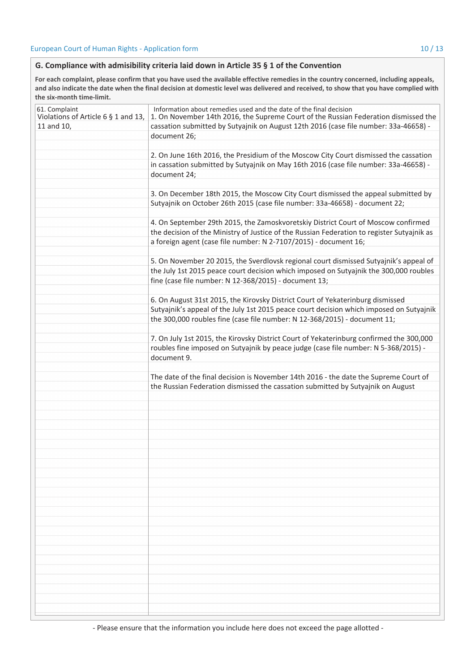## G. Compliance with admisibility criteria laid down in Article 35 § 1 of the Convention

For each complaint, please confirm that you have used the available effective remedies in the country concerned, including appeals, and also indicate the date when the final decision at domestic level was delivered and received, to show that you have complied with the six-month time-limit.

| 61. Complaint<br>Violations of Article 6 § 1 and 13,<br>11 and 10, | Information about remedies used and the date of the final decision<br>1. On November 14th 2016, the Supreme Court of the Russian Federation dismissed the<br>cassation submitted by Sutyajnik on August 12th 2016 (case file number: 33a-46658) - |
|--------------------------------------------------------------------|---------------------------------------------------------------------------------------------------------------------------------------------------------------------------------------------------------------------------------------------------|
|                                                                    | document 26;                                                                                                                                                                                                                                      |
|                                                                    |                                                                                                                                                                                                                                                   |
|                                                                    | 2. On June 16th 2016, the Presidium of the Moscow City Court dismissed the cassation                                                                                                                                                              |
|                                                                    | in cassation submitted by Sutyajnik on May 16th 2016 (case file number: 33a-46658) -                                                                                                                                                              |
|                                                                    | document 24;                                                                                                                                                                                                                                      |
|                                                                    |                                                                                                                                                                                                                                                   |
|                                                                    | 3. On December 18th 2015, the Moscow City Court dismissed the appeal submitted by                                                                                                                                                                 |
|                                                                    | Sutyajnik on October 26th 2015 (case file number: 33a-46658) - document 22;                                                                                                                                                                       |
|                                                                    |                                                                                                                                                                                                                                                   |
|                                                                    | 4. On September 29th 2015, the Zamoskvoretskiy District Court of Moscow confirmed                                                                                                                                                                 |
|                                                                    | the decision of the Ministry of Justice of the Russian Federation to register Sutyajnik as                                                                                                                                                        |
|                                                                    | a foreign agent (case file number: N 2-7107/2015) - document 16;                                                                                                                                                                                  |
|                                                                    |                                                                                                                                                                                                                                                   |
|                                                                    | 5. On November 20 2015, the Sverdlovsk regional court dismissed Sutyajnik's appeal of                                                                                                                                                             |
|                                                                    | the July 1st 2015 peace court decision which imposed on Sutyajnik the 300,000 roubles                                                                                                                                                             |
|                                                                    | fine (case file number: N 12-368/2015) - document 13;                                                                                                                                                                                             |
|                                                                    |                                                                                                                                                                                                                                                   |
|                                                                    | 6. On August 31st 2015, the Kirovsky District Court of Yekaterinburg dismissed                                                                                                                                                                    |
|                                                                    | Sutyajnik's appeal of the July 1st 2015 peace court decision which imposed on Sutyajnik                                                                                                                                                           |
|                                                                    | the 300,000 roubles fine (case file number: N 12-368/2015) - document 11;                                                                                                                                                                         |
|                                                                    |                                                                                                                                                                                                                                                   |
|                                                                    | 7. On July 1st 2015, the Kirovsky District Court of Yekaterinburg confirmed the 300,000                                                                                                                                                           |
|                                                                    | roubles fine imposed on Sutyajnik by peace judge (case file number: N 5-368/2015) -                                                                                                                                                               |
|                                                                    | document 9.                                                                                                                                                                                                                                       |
|                                                                    |                                                                                                                                                                                                                                                   |
|                                                                    | The date of the final decision is November 14th 2016 - the date the Supreme Court of                                                                                                                                                              |
|                                                                    | the Russian Federation dismissed the cassation submitted by Sutyajnik on August                                                                                                                                                                   |
|                                                                    |                                                                                                                                                                                                                                                   |
|                                                                    |                                                                                                                                                                                                                                                   |
|                                                                    |                                                                                                                                                                                                                                                   |
|                                                                    |                                                                                                                                                                                                                                                   |
|                                                                    |                                                                                                                                                                                                                                                   |
|                                                                    |                                                                                                                                                                                                                                                   |
|                                                                    |                                                                                                                                                                                                                                                   |
|                                                                    |                                                                                                                                                                                                                                                   |
|                                                                    |                                                                                                                                                                                                                                                   |
|                                                                    |                                                                                                                                                                                                                                                   |
|                                                                    |                                                                                                                                                                                                                                                   |
|                                                                    |                                                                                                                                                                                                                                                   |
|                                                                    |                                                                                                                                                                                                                                                   |
|                                                                    |                                                                                                                                                                                                                                                   |
|                                                                    |                                                                                                                                                                                                                                                   |
|                                                                    |                                                                                                                                                                                                                                                   |
|                                                                    |                                                                                                                                                                                                                                                   |
|                                                                    |                                                                                                                                                                                                                                                   |
|                                                                    |                                                                                                                                                                                                                                                   |
|                                                                    |                                                                                                                                                                                                                                                   |
|                                                                    |                                                                                                                                                                                                                                                   |
|                                                                    |                                                                                                                                                                                                                                                   |
|                                                                    |                                                                                                                                                                                                                                                   |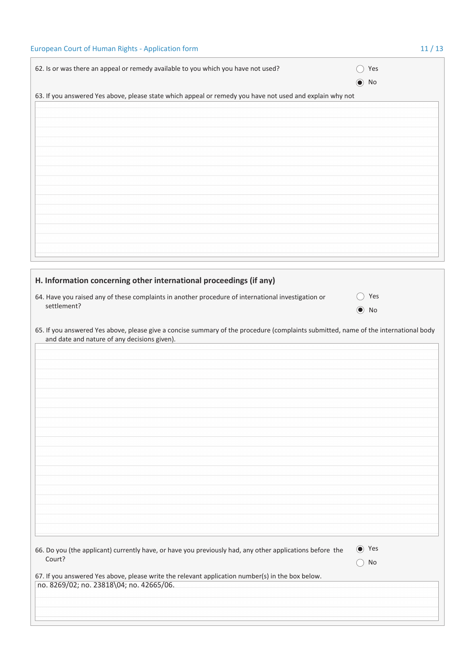| 62. Is or was there an appeal or remedy available to you which you have not used?                        | Yes        |
|----------------------------------------------------------------------------------------------------------|------------|
|                                                                                                          | $\odot$ No |
| 63. If you answered Yes above, please state which appeal or remedy you have not used and explain why not |            |
|                                                                                                          |            |
|                                                                                                          |            |
|                                                                                                          |            |
|                                                                                                          |            |
|                                                                                                          |            |
|                                                                                                          |            |
|                                                                                                          |            |
|                                                                                                          |            |
|                                                                                                          |            |
|                                                                                                          |            |
|                                                                                                          |            |
|                                                                                                          |            |

| H. Information concerning other international proceedings (if any)                                                                                                                  |                   |
|-------------------------------------------------------------------------------------------------------------------------------------------------------------------------------------|-------------------|
| 64. Have you raised any of these complaints in another procedure of international investigation or<br>settlement?                                                                   | Yes<br>$\odot$ No |
| 65. If you answered Yes above, please give a concise summary of the procedure (complaints submitted, name of the international body<br>and date and nature of any decisions given). |                   |
|                                                                                                                                                                                     |                   |
|                                                                                                                                                                                     |                   |
|                                                                                                                                                                                     |                   |

| 66. Do you (the applicant) currently have, or have you previously had, any other applications before the | $\bullet$ Yes |  |
|----------------------------------------------------------------------------------------------------------|---------------|--|
| Court?                                                                                                   | $()$ No       |  |

| 67. If you answered Yes above, please write the relevant application number(s) in the box below. |  |
|--------------------------------------------------------------------------------------------------|--|
| no. 8269/02; no. 23818\04; no. 42665/06.                                                         |  |

# $11/13$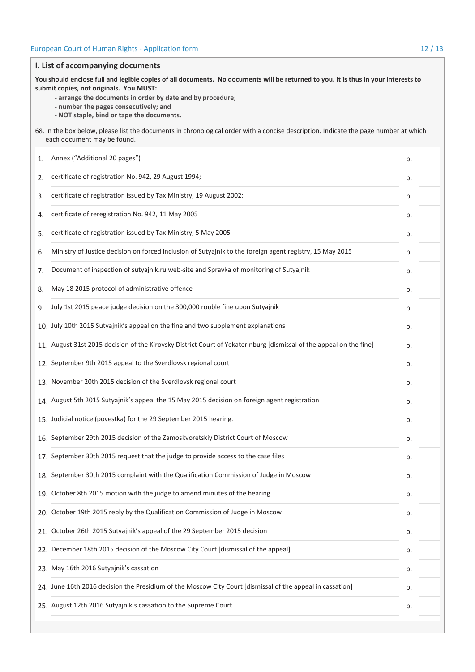| I. List of accompanying documents                                                                                                                                   |                                                                                                                                                                                                                                                                                                                                   |    |  |  |  |
|---------------------------------------------------------------------------------------------------------------------------------------------------------------------|-----------------------------------------------------------------------------------------------------------------------------------------------------------------------------------------------------------------------------------------------------------------------------------------------------------------------------------|----|--|--|--|
|                                                                                                                                                                     | You should enclose full and legible copies of all documents. No documents will be returned to you. It is thus in your interests to<br>submit copies, not originals. You MUST:<br>- arrange the documents in order by date and by procedure;<br>- number the pages consecutively; and<br>- NOT staple, bind or tape the documents. |    |  |  |  |
| 68. In the box below, please list the documents in chronological order with a concise description. Indicate the page number at which<br>each document may be found. |                                                                                                                                                                                                                                                                                                                                   |    |  |  |  |
| 1.                                                                                                                                                                  | Annex ("Additional 20 pages")                                                                                                                                                                                                                                                                                                     | p. |  |  |  |
| 2.                                                                                                                                                                  | certificate of registration No. 942, 29 August 1994;                                                                                                                                                                                                                                                                              | р. |  |  |  |
| 3.                                                                                                                                                                  | certificate of registration issued by Tax Ministry, 19 August 2002;                                                                                                                                                                                                                                                               | р. |  |  |  |
| 4.                                                                                                                                                                  | certificate of reregistration No. 942, 11 May 2005                                                                                                                                                                                                                                                                                | p. |  |  |  |
| 5.                                                                                                                                                                  | certificate of registration issued by Tax Ministry, 5 May 2005                                                                                                                                                                                                                                                                    | p. |  |  |  |
| 6.                                                                                                                                                                  | Ministry of Justice decision on forced inclusion of Sutyajnik to the foreign agent registry, 15 May 2015                                                                                                                                                                                                                          | р. |  |  |  |
| 7.                                                                                                                                                                  | Document of inspection of sutyajnik.ru web-site and Spravka of monitoring of Sutyajnik                                                                                                                                                                                                                                            | р. |  |  |  |
| 8.                                                                                                                                                                  | May 18 2015 protocol of administrative offence                                                                                                                                                                                                                                                                                    | p. |  |  |  |
| 9.                                                                                                                                                                  | July 1st 2015 peace judge decision on the 300,000 rouble fine upon Sutyajnik                                                                                                                                                                                                                                                      | p. |  |  |  |
|                                                                                                                                                                     | 10. July 10th 2015 Sutyajnik's appeal on the fine and two supplement explanations                                                                                                                                                                                                                                                 | р. |  |  |  |
|                                                                                                                                                                     | 11. August 31st 2015 decision of the Kirovsky District Court of Yekaterinburg [dismissal of the appeal on the fine]                                                                                                                                                                                                               | р. |  |  |  |
|                                                                                                                                                                     | 12. September 9th 2015 appeal to the Sverdlovsk regional court                                                                                                                                                                                                                                                                    | р. |  |  |  |
|                                                                                                                                                                     | 13. November 20th 2015 decision of the Sverdlovsk regional court                                                                                                                                                                                                                                                                  | p. |  |  |  |
|                                                                                                                                                                     | 14. August 5th 2015 Sutyajnik's appeal the 15 May 2015 decision on foreign agent registration                                                                                                                                                                                                                                     | р. |  |  |  |
|                                                                                                                                                                     | 15. Judicial notice (povestka) for the 29 September 2015 hearing.                                                                                                                                                                                                                                                                 | р. |  |  |  |
|                                                                                                                                                                     | 16. September 29th 2015 decision of the Zamoskvoretskiy District Court of Moscow                                                                                                                                                                                                                                                  | p. |  |  |  |
|                                                                                                                                                                     | 17. September 30th 2015 request that the judge to provide access to the case files                                                                                                                                                                                                                                                | p. |  |  |  |
|                                                                                                                                                                     | 18. September 30th 2015 complaint with the Qualification Commission of Judge in Moscow                                                                                                                                                                                                                                            | р. |  |  |  |
|                                                                                                                                                                     | 19. October 8th 2015 motion with the judge to amend minutes of the hearing                                                                                                                                                                                                                                                        | р. |  |  |  |
|                                                                                                                                                                     | 20. October 19th 2015 reply by the Qualification Commission of Judge in Moscow                                                                                                                                                                                                                                                    | p. |  |  |  |
|                                                                                                                                                                     | 21. October 26th 2015 Sutyajnik's appeal of the 29 September 2015 decision                                                                                                                                                                                                                                                        | р. |  |  |  |
|                                                                                                                                                                     | 22. December 18th 2015 decision of the Moscow City Court [dismissal of the appeal]                                                                                                                                                                                                                                                | p. |  |  |  |
|                                                                                                                                                                     | 23. May 16th 2016 Sutyajnik's cassation                                                                                                                                                                                                                                                                                           | p. |  |  |  |
|                                                                                                                                                                     | 24. June 16th 2016 decision the Presidium of the Moscow City Court [dismissal of the appeal in cassation]                                                                                                                                                                                                                         | р. |  |  |  |
|                                                                                                                                                                     | 25. August 12th 2016 Sutyajnik's cassation to the Supreme Court                                                                                                                                                                                                                                                                   | p. |  |  |  |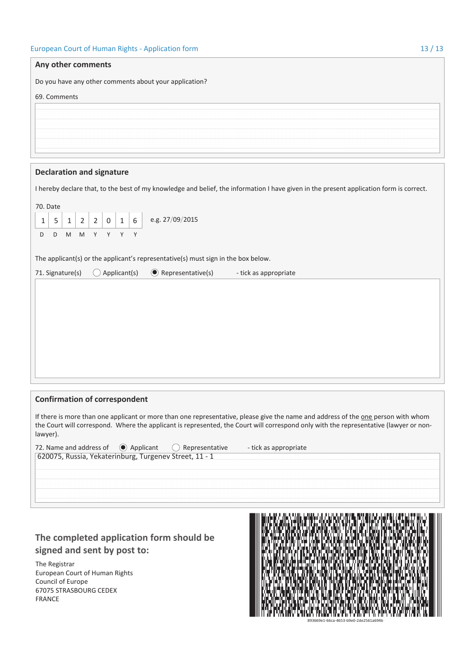| Any other comments                                                                                                                            |  |  |  |  |  |
|-----------------------------------------------------------------------------------------------------------------------------------------------|--|--|--|--|--|
| Do you have any other comments about your application?                                                                                        |  |  |  |  |  |
| 69. Comments                                                                                                                                  |  |  |  |  |  |
|                                                                                                                                               |  |  |  |  |  |
|                                                                                                                                               |  |  |  |  |  |
|                                                                                                                                               |  |  |  |  |  |
|                                                                                                                                               |  |  |  |  |  |
| <b>Declaration and signature</b>                                                                                                              |  |  |  |  |  |
| I hereby declare that, to the best of my knowledge and belief, the information I have given in the present application form is correct.       |  |  |  |  |  |
| 70. Date                                                                                                                                      |  |  |  |  |  |
| e.g. 27/09/2015<br>$\overline{2}$<br>$\boldsymbol{0}$<br>6<br>$\overline{2}$<br>$\mathbf{1}$<br>1<br>5<br>$\mathbf{1}$                        |  |  |  |  |  |
| $\mathsf{M}% _{T}=\mathsf{M}_{T}\!\left( a,b\right) ,\ \mathsf{M}_{T}=\mathsf{M}_{T}\!\left( a,b\right) ,$<br>D<br>M<br>Y<br>Y<br>Y<br>Y<br>D |  |  |  |  |  |
|                                                                                                                                               |  |  |  |  |  |
| The applicant(s) or the applicant's representative(s) must sign in the box below.<br>Applicant(s)<br>$\bullet$ Representative(s)<br>(         |  |  |  |  |  |
| 71. Signature(s)<br>- tick as appropriate                                                                                                     |  |  |  |  |  |
|                                                                                                                                               |  |  |  |  |  |
|                                                                                                                                               |  |  |  |  |  |
|                                                                                                                                               |  |  |  |  |  |
|                                                                                                                                               |  |  |  |  |  |
|                                                                                                                                               |  |  |  |  |  |
|                                                                                                                                               |  |  |  |  |  |
|                                                                                                                                               |  |  |  |  |  |
| <b>Confirmation of correspondent</b>                                                                                                          |  |  |  |  |  |
| If there is more than one applicant or more than one representative, please give the name and address of the one person with whom             |  |  |  |  |  |
| the Court will correspond. Where the applicant is represented, the Court will correspond only with the representative (lawyer or non-         |  |  |  |  |  |

| lawyer).                                               |  |                    |                       |  |  |
|--------------------------------------------------------|--|--------------------|-----------------------|--|--|
| 72. Name and address of $\bullet$ Applicant            |  | ( ) Representative | - tick as appropriate |  |  |
| 620075, Russia, Yekaterinburg, Turgenev Street, 11 - 1 |  |                    |                       |  |  |
|                                                        |  |                    |                       |  |  |
|                                                        |  |                    |                       |  |  |

# The completed application form should be signed and sent by post to:

The Registrar European Court of Human Rights Council of Europe 67075 STRASBOURG CEDEX FRANCE

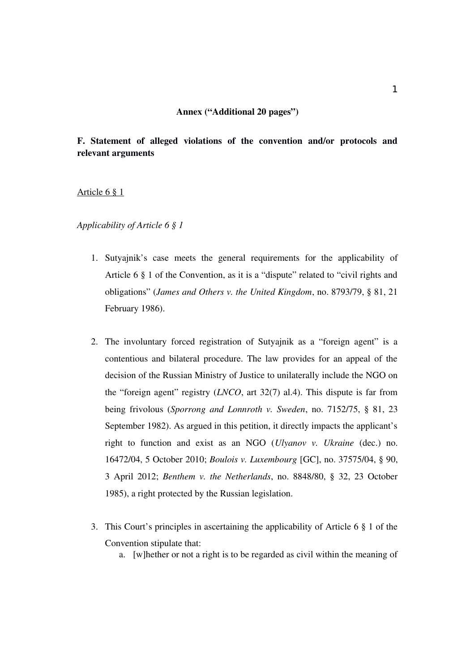## Annex ("Additional 20 pages")

# F. Statement of alleged violations of the convention and/or protocols and relevant arguments

## Article 6 § 1

*Applicability of Article 6 § 1*

- 1. Sutyajnik's case meets the general requirements for the applicability of Article 6 § 1 of the Convention, as it is a "dispute" related to "civil rights and obligations" (*James and Others v. the United Kingdom*, no. 8793/79, § 81, 21 February 1986).
- 2. The involuntary forced registration of Sutyajnik as a "foreign agent" is a contentious and bilateral procedure. The law provides for an appeal of the decision of the Russian Ministry of Justice to unilaterally include the NGO on the "foreign agent" registry (*LNCO*, art 32(7) al.4). This dispute is far from being frivolous (*Sporrong and Lonnroth v. Sweden*, no. 7152/75, § 81, 23 September 1982). As argued in this petition, it directly impacts the applicant's right to function and exist as an NGO (*Ulyanov v. Ukraine* (dec.) no. 16472/04, 5 October 2010; *Boulois v. Luxembourg* [GC], no. 37575/04, § 90, 3 April 2012; *Benthem v. the Netherlands*, no. 8848/80, § 32, 23 October 1985), a right protected by the Russian legislation.
- 3. This Court's principles in ascertaining the applicability of Article 6 § 1 of the Convention stipulate that:
	- a. [w]hether or not a right is to be regarded as civil within the meaning of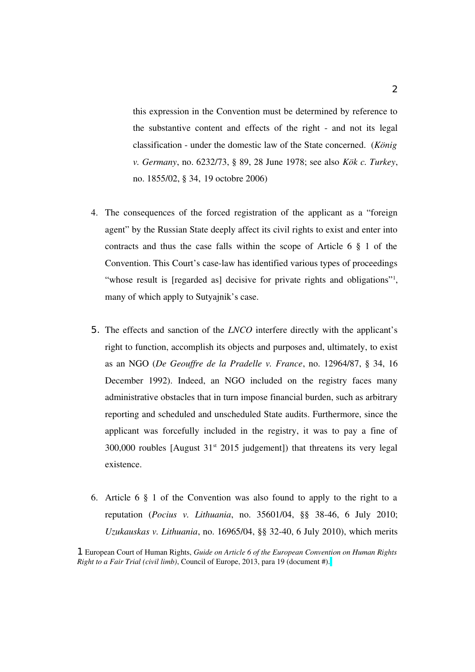this expression in the Convention must be determined by reference to the substantive content and effects of the right - and not its legal classification under the domestic law of the State concerned. (*König v. Germany*, no. 6232/73, § 89, 28 June 1978; see also *Kök c. Turkey*, no. 1855/02, § 34, 19 octobre 2006)

- 4. The consequences of the forced registration of the applicant as a "foreign agent" by the Russian State deeply affect its civil rights to exist and enter into contracts and thus the case falls within the scope of Article 6 § 1 of the Convention. This Court's case-law has identified various types of proceedings "whose result is [regarded as] decisive for private rights and obligations"<sup>1</sup>, many of which apply to Sutyajnik's case.
- 5. The effects and sanction of the *LNCO* interfere directly with the applicant's right to function, accomplish its objects and purposes and, ultimately, to exist as an NGO (*De Geouffre de la Pradelle v. France*, no. 12964/87, § 34, 16 December 1992). Indeed, an NGO included on the registry faces many administrative obstacles that in turn impose financial burden, such as arbitrary reporting and scheduled and unscheduled State audits. Furthermore, since the applicant was forcefully included in the registry, it was to pay a fine of  $300,000$  roubles [August  $31<sup>st</sup> 2015$  judgement]) that threatens its very legal existence.
- 6. Article 6 § 1 of the Convention was also found to apply to the right to a reputation (*Pocius v. Lithuania*, no. 35601/04, §§ 3846, 6 July 2010; *Uzukauskas v. Lithuania*, no. 16965/04, §§ 3240, 6 July 2010), which merits

1 European Court of Human Rights, *Guide on Article 6 of the European Convention on Human Rights Right to a Fair Trial (civil limb)*, Council of Europe, 2013, para 19 (document #).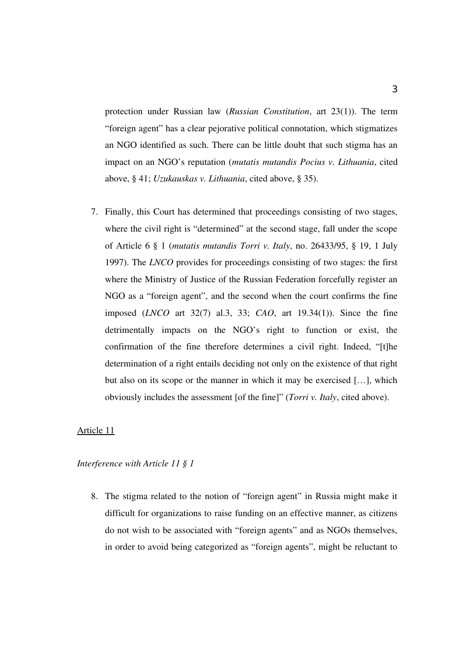protection under Russian law (*Russian Constitution*, art 23(1)). The term "foreign agent" has a clear pejorative political connotation, which stigmatizes an NGO identified as such. There can be little doubt that such stigma has an impact on an NGO's reputation (*mutatis mutandis Pocius v. Lithuania*, cited above, § 41; *Uzukauskas v. Lithuania*, cited above, § 35).

7. Finally, this Court has determined that proceedings consisting of two stages, where the civil right is "determined" at the second stage, fall under the scope of Article 6 § 1 (*mutatis mutandis Torri v. Italy*, no. 26433/95, § 19, 1 July 1997). The *LNCO* provides for proceedings consisting of two stages: the first where the Ministry of Justice of the Russian Federation forcefully register an NGO as a "foreign agent", and the second when the court confirms the fine imposed (*LNCO* art 32(7) al.3, 33; *CAO*, art 19.34(1)). Since the fine detrimentally impacts on the NGO's right to function or exist, the confirmation of the fine therefore determines a civil right. Indeed, "[t]he determination of a right entails deciding not only on the existence of that right but also on its scope or the manner in which it may be exercised […], which obviously includes the assessment [of the fine]" (*Torri v. Italy*, cited above).

#### Article 11

# *Interference with Article 11 § 1*

8. The stigma related to the notion of "foreign agent" in Russia might make it difficult for organizations to raise funding on an effective manner, as citizens do not wish to be associated with "foreign agents" and as NGOs themselves, in order to avoid being categorized as "foreign agents", might be reluctant to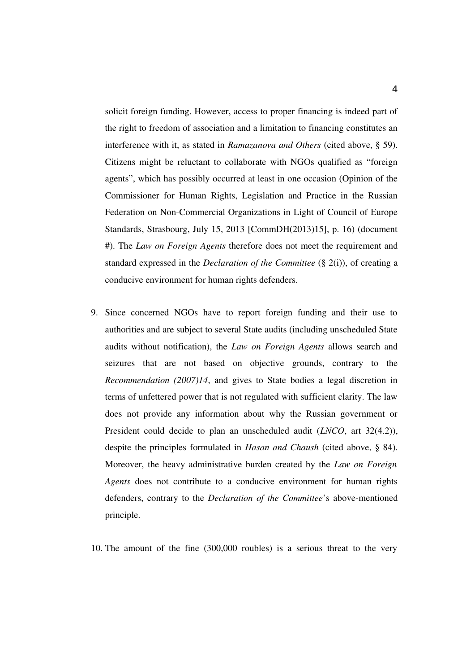solicit foreign funding. However, access to proper financing is indeed part of the right to freedom of association and a limitation to financing constitutes an interference with it, as stated in *Ramazanova and Others* (cited above, § 59). Citizens might be reluctant to collaborate with NGOs qualified as "foreign agents", which has possibly occurred at least in one occasion (Opinion of the Commissioner for Human Rights, Legislation and Practice in the Russian Federation on Non-Commercial Organizations in Light of Council of Europe Standards, Strasbourg, July 15, 2013 [CommDH(2013)15], p. 16) (document #). The *Law on Foreign Agents* therefore does not meet the requirement and standard expressed in the *Declaration of the Committee* (§ 2(i)), of creating a conducive environment for human rights defenders.

9. Since concerned NGOs have to report foreign funding and their use to authorities and are subject to several State audits (including unscheduled State audits without notification), the *Law on Foreign Agents* allows search and seizures that are not based on objective grounds, contrary to the *Recommendation (2007)14*, and gives to State bodies a legal discretion in terms of unfettered power that is not regulated with sufficient clarity. The law does not provide any information about why the Russian government or President could decide to plan an unscheduled audit (*LNCO*, art 32(4.2)), despite the principles formulated in *Hasan and Chaush* (cited above, § 84). Moreover, the heavy administrative burden created by the *Law on Foreign Agents* does not contribute to a conducive environment for human rights defenders, contrary to the *Declaration of the Committee's* above-mentioned principle.

10. The amount of the fine (300,000 roubles) is a serious threat to the very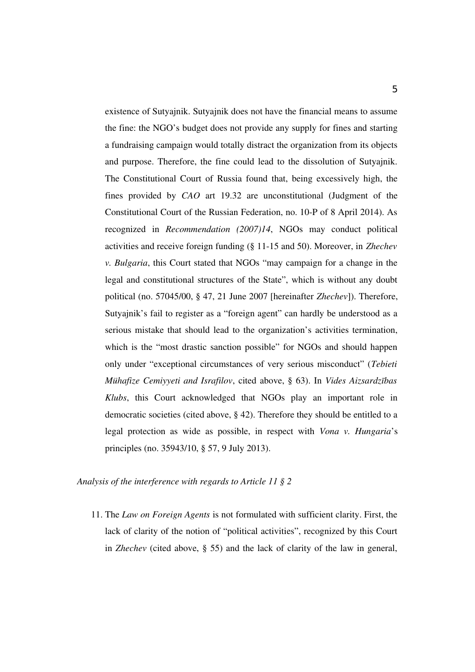existence of Sutyajnik. Sutyajnik does not have the financial means to assume the fine: the NGO's budget does not provide any supply for fines and starting a fundraising campaign would totally distract the organization from its objects and purpose. Therefore, the fine could lead to the dissolution of Sutyajnik. The Constitutional Court of Russia found that, being excessively high, the fines provided by *CAO* art 19.32 are unconstitutional (Judgment of the Constitutional Court of the Russian Federation, no. 10P of 8 April 2014). As recognized in *Recommendation (2007)14*, NGOs may conduct political activities and receive foreign funding (§ 1115 and 50). Moreover, in *Zhechev v. Bulgaria*, this Court stated that NGOs "may campaign for a change in the legal and constitutional structures of the State", which is without any doubt political (no. 57045/00, § 47, 21 June 2007 [hereinafter *Zhechev*]). Therefore, Sutyajnik's fail to register as a "foreign agent" can hardly be understood as a serious mistake that should lead to the organization's activities termination, which is the "most drastic sanction possible" for NGOs and should happen only under "exceptional circumstances of very serious misconduct" (*Tebieti Mühafize Cemiyyeti and Israfilov*, cited above, § 63). In *Vides Aizsardzības Klubs*, this Court acknowledged that NGOs play an important role in democratic societies (cited above, § 42). Therefore they should be entitled to a legal protection as wide as possible, in respect with *Vona v. Hungaria*'s principles (no. 35943/10, § 57, 9 July 2013).

*Analysis of the interference with regards to Article 11 § 2*

11. The *Law on Foreign Agents* is not formulated with sufficient clarity. First, the lack of clarity of the notion of "political activities", recognized by this Court in *Zhechev* (cited above, § 55) and the lack of clarity of the law in general,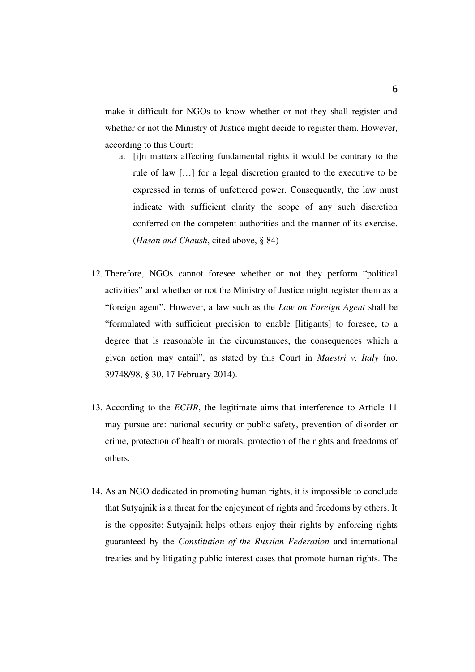make it difficult for NGOs to know whether or not they shall register and whether or not the Ministry of Justice might decide to register them. However, according to this Court:

- a. [i]n matters affecting fundamental rights it would be contrary to the rule of law […] for a legal discretion granted to the executive to be expressed in terms of unfettered power. Consequently, the law must indicate with sufficient clarity the scope of any such discretion conferred on the competent authorities and the manner of its exercise. (*Hasan and Chaush*, cited above, § 84)
- 12. Therefore, NGOs cannot foresee whether or not they perform "political activities" and whether or not the Ministry of Justice might register them as a "foreign agent". However, a law such as the *Law on Foreign Agent* shall be "formulated with sufficient precision to enable [litigants] to foresee, to a degree that is reasonable in the circumstances, the consequences which a given action may entail", as stated by this Court in *Maestri v. Italy* (no. 39748/98, § 30, 17 February 2014).
- 13. According to the *ECHR*, the legitimate aims that interference to Article 11 may pursue are: national security or public safety, prevention of disorder or crime, protection of health or morals, protection of the rights and freedoms of others.
- 14. As an NGO dedicated in promoting human rights, it is impossible to conclude that Sutyajnik is a threat for the enjoyment of rights and freedoms by others. It is the opposite: Sutyajnik helps others enjoy their rights by enforcing rights guaranteed by the *Constitution of the Russian Federation* and international treaties and by litigating public interest cases that promote human rights. The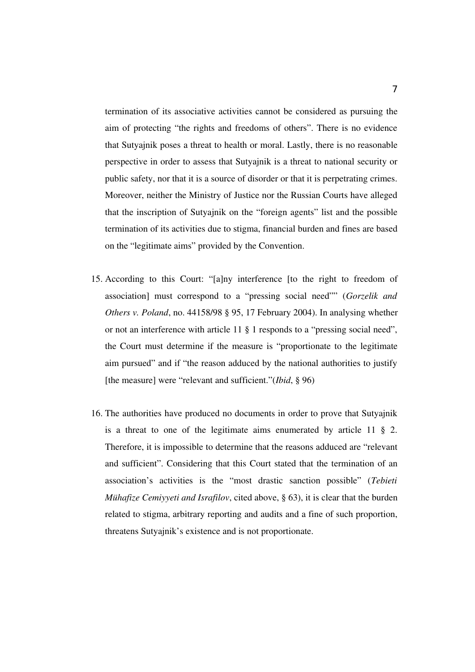termination of its associative activities cannot be considered as pursuing the aim of protecting "the rights and freedoms of others". There is no evidence that Sutyajnik poses a threat to health or moral. Lastly, there is no reasonable perspective in order to assess that Sutyajnik is a threat to national security or public safety, nor that it is a source of disorder or that it is perpetrating crimes. Moreover, neither the Ministry of Justice nor the Russian Courts have alleged that the inscription of Sutyajnik on the "foreign agents" list and the possible termination of its activities due to stigma, financial burden and fines are based on the "legitimate aims" provided by the Convention.

- 15. According to this Court: "[a]ny interference [to the right to freedom of association] must correspond to a "pressing social need"" (*Gorzelik and Others v. Poland*, no. 44158/98 § 95, 17 February 2004). In analysing whether or not an interference with article 11 § 1 responds to a "pressing social need", the Court must determine if the measure is "proportionate to the legitimate aim pursued" and if "the reason adduced by the national authorities to justify [the measure] were "relevant and sufficient."(*Ibid*, § 96)
- 16. The authorities have produced no documents in order to prove that Sutyajnik is a threat to one of the legitimate aims enumerated by article 11 § 2. Therefore, it is impossible to determine that the reasons adduced are "relevant and sufficient". Considering that this Court stated that the termination of an association's activities is the "most drastic sanction possible" (*Tebieti Mühafize Cemiyyeti and Israfilov*, cited above, § 63), it is clear that the burden related to stigma, arbitrary reporting and audits and a fine of such proportion, threatens Sutyajnik's existence and is not proportionate.